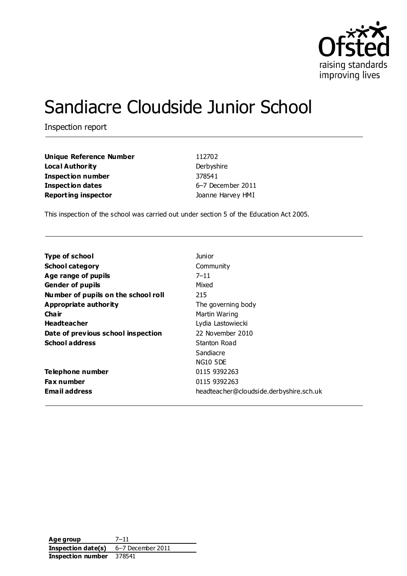

# Sandiacre Cloudside Junior School

Inspection report

| <b>Unique Reference Number</b> | 112702            |
|--------------------------------|-------------------|
| Local Authority                | Derbyshire        |
| Inspection number              | 378541            |
| <b>Inspection dates</b>        | 6-7 December 2011 |
| <b>Reporting inspector</b>     | Joanne Harvey HMI |

This inspection of the school was carried out under section 5 of the Education Act 2005.

| <b>Type of school</b>               | Junior                                  |
|-------------------------------------|-----------------------------------------|
| <b>School category</b>              | Community                               |
| Age range of pupils                 | $7 - 11$                                |
| <b>Gender of pupils</b>             | Mixed                                   |
| Number of pupils on the school roll | 215                                     |
| Appropriate authority               | The governing body                      |
| Cha ir                              | Martin Waring                           |
| <b>Headteacher</b>                  | Lydia Lastowiecki                       |
| Date of previous school inspection  | 22 November 2010                        |
| <b>School address</b>               | Stanton Road                            |
|                                     | Sandiacre                               |
|                                     | <b>NG10 5DE</b>                         |
| Telephone number                    | 0115 9392 263                           |
| <b>Fax number</b>                   | 0115 9392 263                           |
| <b>Email address</b>                | headteacher@cloudside.derbyshire.sch.uk |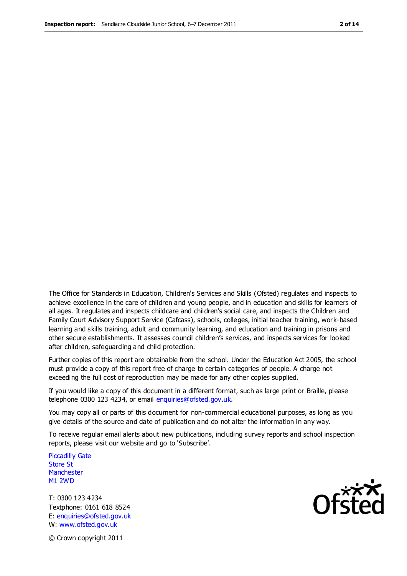The Office for Standards in Education, Children's Services and Skills (Ofsted) regulates and inspects to achieve excellence in the care of children and young people, and in education and skills for learners of all ages. It regulates and inspects childcare and children's social care, and inspects the Children and Family Court Advisory Support Service (Cafcass), schools, colleges, initial teacher training, work-based learning and skills training, adult and community learning, and education and training in prisons and other secure establishments. It assesses council children's services, and inspects services for looked after children, safeguarding and child protection.

Further copies of this report are obtainable from the school. Under the Education Act 2005, the school must provide a copy of this report free of charge to certain categories of people. A charge not exceeding the full cost of reproduction may be made for any other copies supplied.

If you would like a copy of this document in a different format, such as large print or Braille, please telephone 0300 123 4234, or email enquiries@ofsted.gov.uk.

You may copy all or parts of this document for non-commercial educational purposes, as long as you give details of the source and date of publication and do not alter the information in any way.

To receive regular email alerts about new publications, including survey reports and school inspection reports, please visit our website and go to 'Subscribe'.

Piccadilly Gate Store St **Manchester** M1 2WD

T: 0300 123 4234 Textphone: 0161 618 8524 E: enquiries@ofsted.gov.uk W: www.ofsted.gov.uk

**Ofsted** 

© Crown copyright 2011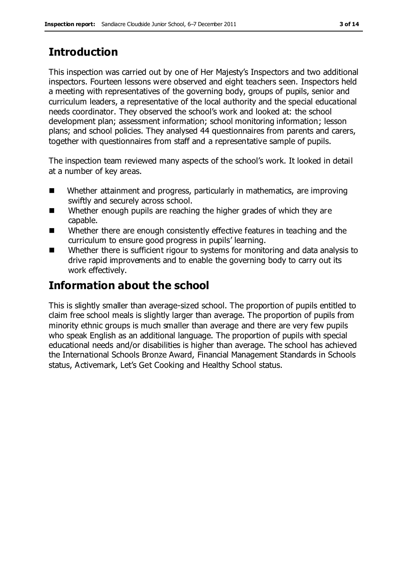# **Introduction**

This inspection was carried out by one of Her Majesty's Inspectors and two additional inspectors. Fourteen lessons were observed and eight teachers seen. Inspectors held a meeting with representatives of the governing body, groups of pupils, senior and curriculum leaders, a representative of the local authority and the special educational needs coordinator. They observed the school's work and looked at: the school development plan; assessment information; school monitoring information; lesson plans; and school policies. They analysed 44 questionnaires from parents and carers, together with questionnaires from staff and a representative sample of pupils.

The inspection team reviewed many aspects of the school's work. It looked in detail at a number of key areas.

- Whether attainment and progress, particularly in mathematics, are improving swiftly and securely across school.
- Whether enough pupils are reaching the higher grades of which they are capable.
- Whether there are enough consistently effective features in teaching and the curriculum to ensure good progress in pupils' learning.
- Whether there is sufficient rigour to systems for monitoring and data analysis to drive rapid improvements and to enable the governing body to carry out its work effectively.

# **Information about the school**

This is slightly smaller than average-sized school. The proportion of pupils entitled to claim free school meals is slightly larger than average. The proportion of pupils from minority ethnic groups is much smaller than average and there are very few pupils who speak English as an additional language. The proportion of pupils with special educational needs and/or disabilities is higher than average. The school has achieved the International Schools Bronze Award, Financial Management Standards in Schools status, Activemark, Let's Get Cooking and Healthy School status.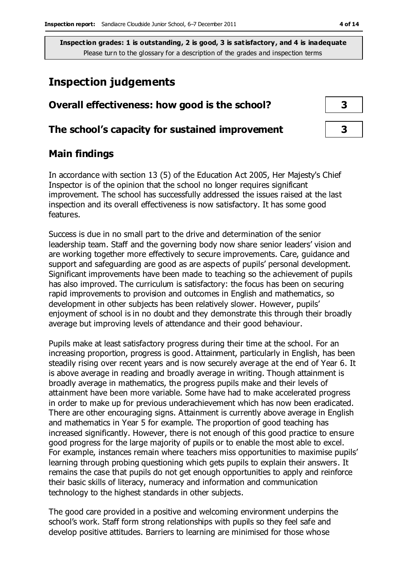# **Inspection judgements**

| Overall effectiveness: how good is the school?  |  |
|-------------------------------------------------|--|
| The school's capacity for sustained improvement |  |

## **Main findings**

In accordance with section 13 (5) of the Education Act 2005, Her Majesty's Chief Inspector is of the opinion that the school no longer requires significant improvement. The school has successfully addressed the issues raised at the last inspection and its overall effectiveness is now satisfactory. It has some good features.

Success is due in no small part to the drive and determination of the senior leadership team. Staff and the governing body now share senior leaders' vision and are working together more effectively to secure improvements. Care, guidance and support and safeguarding are good as are aspects of pupils' personal development. Significant improvements have been made to teaching so the achievement of pupils has also improved. The curriculum is satisfactory: the focus has been on securing rapid improvements to provision and outcomes in English and mathematics, so development in other subjects has been relatively slower. However, pupils' enjoyment of school is in no doubt and they demonstrate this through their broadly average but improving levels of attendance and their good behaviour.

Pupils make at least satisfactory progress during their time at the school. For an increasing proportion, progress is good. Attainment, particularly in English, has been steadily rising over recent years and is now securely average at the end of Year 6. It is above average in reading and broadly average in writing. Though attainment is broadly average in mathematics, the progress pupils make and their levels of attainment have been more variable. Some have had to make accelerated progress in order to make up for previous underachievement which has now been eradicated. There are other encouraging signs. Attainment is currently above average in English and mathematics in Year 5 for example. The proportion of good teaching has increased significantly. However, there is not enough of this good practice to ensure good progress for the large majority of pupils or to enable the most able to excel. For example, instances remain where teachers miss opportunities to maximise pupils' learning through probing questioning which gets pupils to explain their answers. It remains the case that pupils do not get enough opportunities to apply and reinforce their basic skills of literacy, numeracy and information and communication technology to the highest standards in other subjects.

The good care provided in a positive and welcoming environment underpins the school's work. Staff form strong relationships with pupils so they feel safe and develop positive attitudes. Barriers to learning are minimised for those whose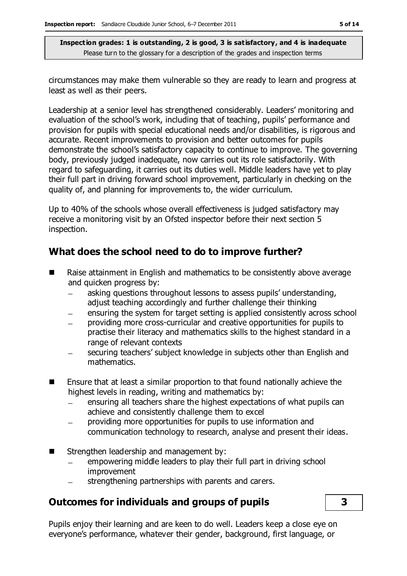circumstances may make them vulnerable so they are ready to learn and progress at least as well as their peers.

Leadership at a senior level has strengthened considerably. Leaders' monitoring and evaluation of the school's work, including that of teaching, pupils' performance and provision for pupils with special educational needs and/or disabilities, is rigorous and accurate. Recent improvements to provision and better outcomes for pupils demonstrate the school's satisfactory capacity to continue to improve. The governing body, previously judged inadequate, now carries out its role satisfactorily. With regard to safeguarding, it carries out its duties well. Middle leaders have yet to play their full part in driving forward school improvement, particularly in checking on the quality of, and planning for improvements to, the wider curriculum.

Up to 40% of the schools whose overall effectiveness is judged satisfactory may receive a monitoring visit by an Ofsted inspector before their next section 5 inspection.

# **What does the school need to do to improve further?**

- Raise attainment in English and mathematics to be consistently above average and quicken progress by:
	- asking questions throughout lessons to assess pupils' understanding,  $\equiv$ adjust teaching accordingly and further challenge their thinking
	- ensuring the system for target setting is applied consistently across school
	- providing more cross-curricular and creative opportunities for pupils to  $\overline{\phantom{0}}$ practise their literacy and mathematics skills to the highest standard in a range of relevant contexts
	- securing teachers' subject knowledge in subjects other than English and mathematics.
- Ensure that at least a similar proportion to that found nationally achieve the highest levels in reading, writing and mathematics by:
	- ensuring all teachers share the highest expectations of what pupils can achieve and consistently challenge them to excel
	- providing more opportunities for pupils to use information and communication technology to research, analyse and present their ideas.
- Strengthen leadership and management by:
	- empowering middle leaders to play their full part in driving school  $\equiv$ improvement
	- strengthening partnerships with parents and carers.

## **Outcomes for individuals and groups of pupils 3**

Pupils enjoy their learning and are keen to do well. Leaders keep a close eye on everyone's performance, whatever their gender, background, first language, or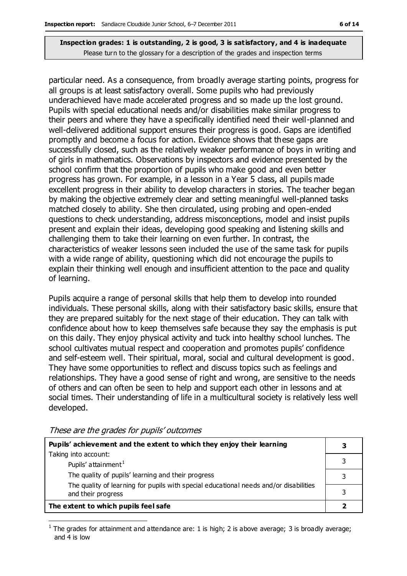particular need. As a consequence, from broadly average starting points, progress for all groups is at least satisfactory overall. Some pupils who had previously underachieved have made accelerated progress and so made up the lost ground. Pupils with special educational needs and/or disabilities make similar progress to their peers and where they have a specifically identified need their well-planned and well-delivered additional support ensures their progress is good. Gaps are identified promptly and become a focus for action. Evidence shows that these gaps are successfully closed, such as the relatively weaker performance of boys in writing and of girls in mathematics. Observations by inspectors and evidence presented by the school confirm that the proportion of pupils who make good and even better progress has grown. For example, in a lesson in a Year 5 class, all pupils made excellent progress in their ability to develop characters in stories. The teacher began by making the objective extremely clear and setting meaningful well-planned tasks matched closely to ability. She then circulated, using probing and open-ended questions to check understanding, address misconceptions, model and insist pupils present and explain their ideas, developing good speaking and listening skills and challenging them to take their learning on even further. In contrast, the characteristics of weaker lessons seen included the use of the same task for pupils with a wide range of ability, questioning which did not encourage the pupils to explain their thinking well enough and insufficient attention to the pace and quality of learning.

Pupils acquire a range of personal skills that help them to develop into rounded individuals. These personal skills, along with their satisfactory basic skills, ensure that they are prepared suitably for the next stage of their education. They can talk with confidence about how to keep themselves safe because they say the emphasis is put on this daily. They enjoy physical activity and tuck into healthy school lunches. The school cultivates mutual respect and cooperation and promotes pupils' confidence and self-esteem well. Their spiritual, moral, social and cultural development is good. They have some opportunities to reflect and discuss topics such as feelings and relationships. They have a good sense of right and wrong, are sensitive to the needs of others and can often be seen to help and support each other in lessons and at social times. Their understanding of life in a multicultural society is relatively less well developed.

| Pupils' achievement and the extent to which they enjoy their learning                 |  |
|---------------------------------------------------------------------------------------|--|
| Taking into account:                                                                  |  |
| Pupils' attainment <sup>1</sup>                                                       |  |
| The quality of pupils' learning and their progress                                    |  |
| The quality of learning for pupils with special educational needs and/or disabilities |  |
| and their progress                                                                    |  |
| The extent to which pupils feel safe                                                  |  |

These are the grades for pupils' outcomes

 $\overline{a}$ <sup>1</sup> The grades for attainment and attendance are: 1 is high; 2 is above average; 3 is broadly average; and 4 is low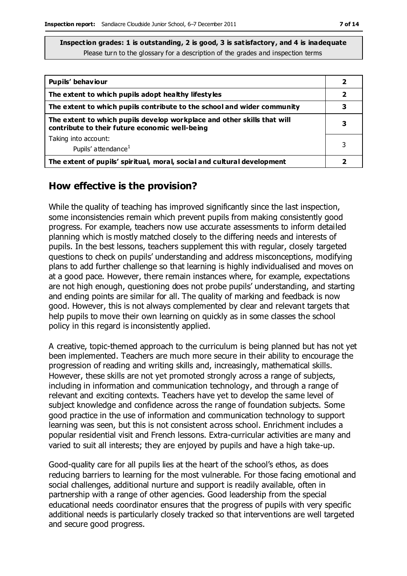| Pupils' behaviour                                                                                                         |   |
|---------------------------------------------------------------------------------------------------------------------------|---|
| The extent to which pupils adopt healthy lifestyles                                                                       | 2 |
| The extent to which pupils contribute to the school and wider community                                                   |   |
| The extent to which pupils develop workplace and other skills that will<br>contribute to their future economic well-being |   |
| Taking into account:                                                                                                      |   |
| Pupils' attendance <sup>1</sup>                                                                                           |   |
| The extent of pupils' spiritual, moral, social and cultural development                                                   |   |

### **How effective is the provision?**

While the quality of teaching has improved significantly since the last inspection, some inconsistencies remain which prevent pupils from making consistently good progress. For example, teachers now use accurate assessments to inform detailed planning which is mostly matched closely to the differing needs and interests of pupils. In the best lessons, teachers supplement this with regular, closely targeted questions to check on pupils' understanding and address misconceptions, modifying plans to add further challenge so that learning is highly individualised and moves on at a good pace. However, there remain instances where, for example, expectations are not high enough, questioning does not probe pupils' understanding, and starting and ending points are similar for all. The quality of marking and feedback is now good. However, this is not always complemented by clear and relevant targets that help pupils to move their own learning on quickly as in some classes the school policy in this regard is inconsistently applied.

A creative, topic-themed approach to the curriculum is being planned but has not yet been implemented. Teachers are much more secure in their ability to encourage the progression of reading and writing skills and, increasingly, mathematical skills. However, these skills are not yet promoted strongly across a range of subjects, including in information and communication technology, and through a range of relevant and exciting contexts. Teachers have yet to develop the same level of subject knowledge and confidence across the range of foundation subjects. Some good practice in the use of information and communication technology to support learning was seen, but this is not consistent across school. Enrichment includes a popular residential visit and French lessons. Extra-curricular activities are many and varied to suit all interests; they are enjoyed by pupils and have a high take-up.

Good-quality care for all pupils lies at the heart of the school's ethos, as does reducing barriers to learning for the most vulnerable. For those facing emotional and social challenges, additional nurture and support is readily available, often in partnership with a range of other agencies. Good leadership from the special educational needs coordinator ensures that the progress of pupils with very specific additional needs is particularly closely tracked so that interventions are well targeted and secure good progress.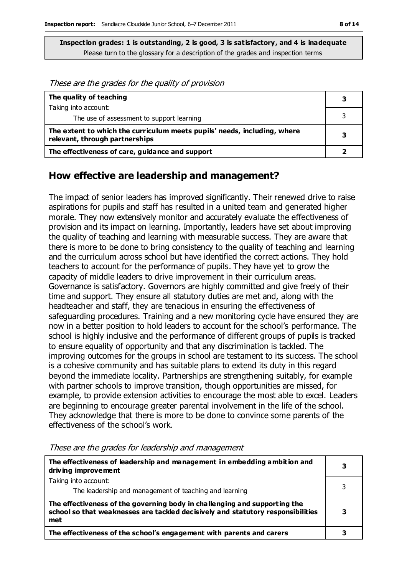These are the grades for the quality of provision **The quality of teaching** Taking into account: The use of assessment to support learning **The extent to which the curriculum meets pupils' needs, including, where** 

**rife extent to which the curriculum meets pupils needs, including, where**  $\begin{bmatrix} 3 \end{bmatrix}$ 

**The effectiveness of care, guidance and support 2**

**How effective are leadership and management?**

The impact of senior leaders has improved significantly. Their renewed drive to raise aspirations for pupils and staff has resulted in a united team and generated higher morale. They now extensively monitor and accurately evaluate the effectiveness of provision and its impact on learning. Importantly, leaders have set about improving the quality of teaching and learning with measurable success. They are aware that there is more to be done to bring consistency to the quality of teaching and learning and the curriculum across school but have identified the correct actions. They hold teachers to account for the performance of pupils. They have yet to grow the capacity of middle leaders to drive improvement in their curriculum areas. Governance is satisfactory. Governors are highly committed and give freely of their time and support. They ensure all statutory duties are met and, along with the headteacher and staff, they are tenacious in ensuring the effectiveness of safeguarding procedures. Training and a new monitoring cycle have ensured they are now in a better position to hold leaders to account for the school's performance. The school is highly inclusive and the performance of different groups of pupils is tracked to ensure equality of opportunity and that any discrimination is tackled. The improving outcomes for the groups in school are testament to its success. The school is a cohesive community and has suitable plans to extend its duty in this regard beyond the immediate locality. Partnerships are strengthening suitably, for example with partner schools to improve transition, though opportunities are missed, for example, to provide extension activities to encourage the most able to excel. Leaders are beginning to encourage greater parental involvement in the life of the school. They acknowledge that there is more to be done to convince some parents of the effectiveness of the school's work.

| The effectiveness of leadership and management in embedding ambition and<br>driving improvement                                                                     | 3 |
|---------------------------------------------------------------------------------------------------------------------------------------------------------------------|---|
| Taking into account:                                                                                                                                                |   |
| The leadership and management of teaching and learning                                                                                                              |   |
| The effectiveness of the governing body in challenging and supporting the<br>school so that weaknesses are tackled decisively and statutory responsibilities<br>met |   |
| The effectiveness of the school's engagement with parents and carers                                                                                                |   |

These are the grades for leadership and management

**3**

3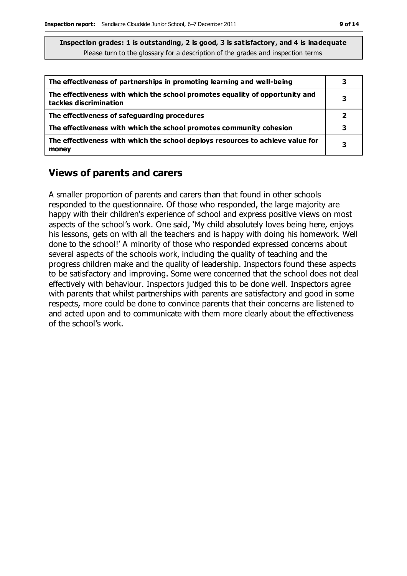| The effectiveness of partnerships in promoting learning and well-being                                 | 3 |
|--------------------------------------------------------------------------------------------------------|---|
| The effectiveness with which the school promotes equality of opportunity and<br>tackles discrimination | 3 |
| The effectiveness of safeguarding procedures                                                           |   |
| The effectiveness with which the school promotes community cohesion                                    |   |
| The effectiveness with which the school deploys resources to achieve value for<br>money                | 3 |

#### **Views of parents and carers**

A smaller proportion of parents and carers than that found in other schools responded to the questionnaire. Of those who responded, the large majority are happy with their children's experience of school and express positive views on most aspects of the school's work. One said, 'My child absolutely loves being here, enjoys his lessons, gets on with all the teachers and is happy with doing his homework. Well done to the school!' A minority of those who responded expressed concerns about several aspects of the schools work, including the quality of teaching and the progress children make and the quality of leadership. Inspectors found these aspects to be satisfactory and improving. Some were concerned that the school does not deal effectively with behaviour. Inspectors judged this to be done well. Inspectors agree with parents that whilst partnerships with parents are satisfactory and good in some respects, more could be done to convince parents that their concerns are listened to and acted upon and to communicate with them more clearly about the effectiveness of the school's work.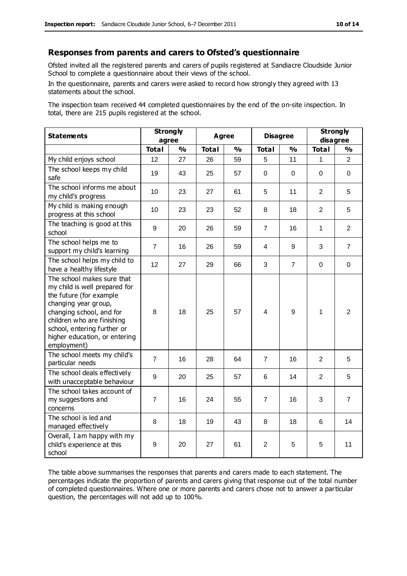#### **Responses from parents and carers to Ofsted's questionnaire**

Ofsted invited all the registered parents and carers of pupils registered at Sandiacre Cloudside Junior School to complete a questionnaire about their views of the school.

In the questionnaire, parents and carers were asked to record how strongly they agreed with 13 statements about the school.

The inspection team received 44 completed questionnaires by the end of the on-site inspection. In total, there are 215 pupils registered at the school.

| <b>Statements</b>                                                                                                                                                                                                                                       | <b>Strongly</b><br>agree |               | Agree        |               | <b>Disagree</b> |                  | <b>Strongly</b><br>disagree |                |
|---------------------------------------------------------------------------------------------------------------------------------------------------------------------------------------------------------------------------------------------------------|--------------------------|---------------|--------------|---------------|-----------------|------------------|-----------------------------|----------------|
|                                                                                                                                                                                                                                                         | <b>Total</b>             | $\frac{1}{2}$ | <b>Total</b> | $\frac{1}{2}$ | <b>Total</b>    | $\frac{1}{2}$    | <b>Total</b>                | $\frac{1}{2}$  |
| My child enjoys school                                                                                                                                                                                                                                  | 12                       | 27            | 26           | 59            | 5               | 11               | 1                           | $\overline{2}$ |
| The school keeps my child<br>safe                                                                                                                                                                                                                       | 19                       | 43            | 25           | 57            | 0               | 0                | $\Omega$                    | $\mathbf 0$    |
| The school informs me about<br>my child's progress                                                                                                                                                                                                      | 10                       | 23            | 27           | 61            | 5               | 11               | $\overline{2}$              | 5              |
| My child is making enough<br>progress at this school                                                                                                                                                                                                    | 10                       | 23            | 23           | 52            | 8               | 18               | $\overline{2}$              | 5              |
| The teaching is good at this<br>school                                                                                                                                                                                                                  | 9                        | 20            | 26           | 59            | $\overline{7}$  | 16               | $\mathbf{1}$                | $\overline{2}$ |
| The school helps me to<br>support my child's learning                                                                                                                                                                                                   | $\overline{7}$           | 16            | 26           | 59            | 4               | 9                | 3                           | $\overline{7}$ |
| The school helps my child to<br>have a healthy lifestyle                                                                                                                                                                                                | 12                       | 27            | 29           | 66            | 3               | $\overline{7}$   | $\mathbf 0$                 | $\mathbf 0$    |
| The school makes sure that<br>my child is well prepared for<br>the future (for example<br>changing year group,<br>changing school, and for<br>children who are finishing<br>school, entering further or<br>higher education, or entering<br>employment) | 8                        | 18            | 25           | 57            | 4               | $\boldsymbol{9}$ | $\mathbf{1}$                | $\overline{2}$ |
| The school meets my child's<br>particular needs                                                                                                                                                                                                         | $\overline{7}$           | 16            | 28           | 64            | 7               | 16               | $\overline{2}$              | 5              |
| The school deals effectively<br>with unacceptable behaviour                                                                                                                                                                                             | 9                        | 20            | 25           | 57            | 6               | 14               | $\overline{2}$              | 5              |
| The school takes account of<br>my suggestions and<br>concerns                                                                                                                                                                                           | $\overline{7}$           | 16            | 24           | 55            | $\overline{7}$  | 16               | 3                           | $\overline{7}$ |
| The school is led and<br>managed effectively                                                                                                                                                                                                            | 8                        | 18            | 19           | 43            | 8               | 18               | 6                           | 14             |
| Overall, I am happy with my<br>child's experience at this<br>school                                                                                                                                                                                     | 9                        | 20            | 27           | 61            | $\overline{2}$  | 5                | 5                           | 11             |

The table above summarises the responses that parents and carers made to each statement. The percentages indicate the proportion of parents and carers giving that response out of the total number of completed questionnaires. Where one or more parents and carers chose not to answer a particular question, the percentages will not add up to 100%.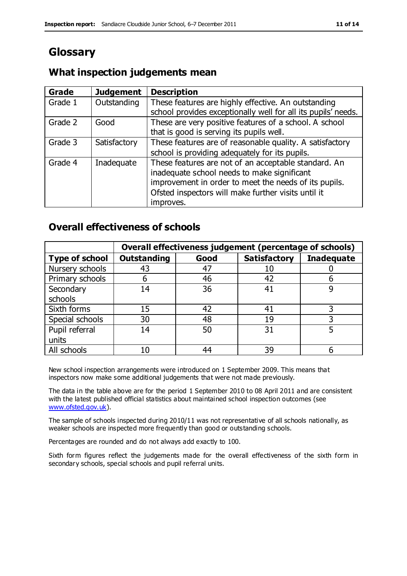# **Glossary**

## **What inspection judgements mean**

| Grade   | <b>Judgement</b> | <b>Description</b>                                            |
|---------|------------------|---------------------------------------------------------------|
| Grade 1 | Outstanding      | These features are highly effective. An outstanding           |
|         |                  | school provides exceptionally well for all its pupils' needs. |
| Grade 2 | Good             | These are very positive features of a school. A school        |
|         |                  | that is good is serving its pupils well.                      |
| Grade 3 | Satisfactory     | These features are of reasonable quality. A satisfactory      |
|         |                  | school is providing adequately for its pupils.                |
| Grade 4 | Inadequate       | These features are not of an acceptable standard. An          |
|         |                  | inadequate school needs to make significant                   |
|         |                  | improvement in order to meet the needs of its pupils.         |
|         |                  | Ofsted inspectors will make further visits until it           |
|         |                  | improves.                                                     |

## **Overall effectiveness of schools**

|                       |                    |      | Overall effectiveness judgement (percentage of schools) |                   |
|-----------------------|--------------------|------|---------------------------------------------------------|-------------------|
| <b>Type of school</b> | <b>Outstanding</b> | Good | <b>Satisfactory</b>                                     | <b>Inadequate</b> |
| Nursery schools       | 43                 | 47   | 10                                                      |                   |
| Primary schools       | 6                  | 46   | 42                                                      |                   |
| Secondary             | 14                 | 36   | 41                                                      |                   |
| schools               |                    |      |                                                         |                   |
| Sixth forms           | 15                 | 42   | 41                                                      | 3                 |
| Special schools       | 30                 | 48   | 19                                                      |                   |
| Pupil referral        | 14                 | 50   | 31                                                      |                   |
| units                 |                    |      |                                                         |                   |
| All schools           | 10                 | 44   | 39                                                      |                   |

New school inspection arrangements were introduced on 1 September 2009. This means that inspectors now make some additional judgements that were not made previously.

The data in the table above are for the period 1 September 2010 to 08 April 2011 and are consistent with the latest published official statistics about maintained school inspection outcomes (see [www.ofsted.gov.uk\)](http://www.ofsted.gov.uk/).

The sample of schools inspected during 2010/11 was not representative of all schools nationally, as weaker schools are inspected more frequently than good or outstanding schools.

Percentages are rounded and do not always add exactly to 100.

Sixth form figures reflect the judgements made for the overall effectiveness of the sixth form in secondary schools, special schools and pupil referral units.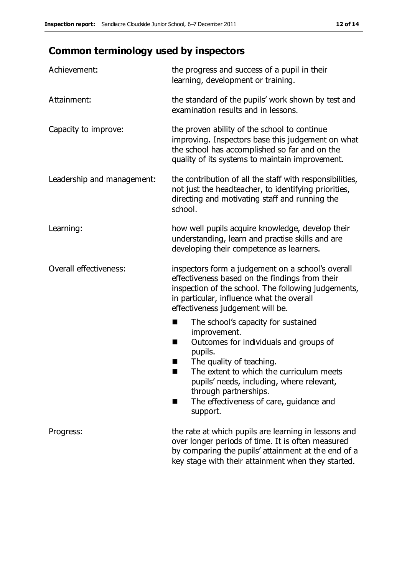# **Common terminology used by inspectors**

| Achievement:               | the progress and success of a pupil in their<br>learning, development or training.                                                                                                                                                                                                                                      |
|----------------------------|-------------------------------------------------------------------------------------------------------------------------------------------------------------------------------------------------------------------------------------------------------------------------------------------------------------------------|
| Attainment:                | the standard of the pupils' work shown by test and<br>examination results and in lessons.                                                                                                                                                                                                                               |
| Capacity to improve:       | the proven ability of the school to continue<br>improving. Inspectors base this judgement on what<br>the school has accomplished so far and on the<br>quality of its systems to maintain improvement.                                                                                                                   |
| Leadership and management: | the contribution of all the staff with responsibilities,<br>not just the headteacher, to identifying priorities,<br>directing and motivating staff and running the<br>school.                                                                                                                                           |
| Learning:                  | how well pupils acquire knowledge, develop their<br>understanding, learn and practise skills and are<br>developing their competence as learners.                                                                                                                                                                        |
| Overall effectiveness:     | inspectors form a judgement on a school's overall<br>effectiveness based on the findings from their<br>inspection of the school. The following judgements,<br>in particular, influence what the overall<br>effectiveness judgement will be.                                                                             |
|                            | The school's capacity for sustained<br>improvement.<br>Outcomes for individuals and groups of<br>H<br>pupils.<br>The quality of teaching.<br>The extent to which the curriculum meets<br>pupils' needs, including, where relevant,<br>through partnerships.<br>The effectiveness of care, guidance and<br>H<br>support. |
| Progress:                  | the rate at which pupils are learning in lessons and<br>over longer periods of time. It is often measured<br>by comparing the pupils' attainment at the end of a<br>key stage with their attainment when they started.                                                                                                  |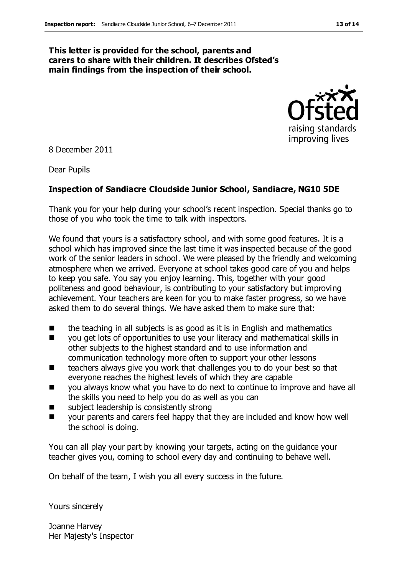#### **This letter is provided for the school, parents and carers to share with their children. It describes Ofsted's main findings from the inspection of their school.**



8 December 2011

Dear Pupils

#### **Inspection of Sandiacre Cloudside Junior School, Sandiacre, NG10 5DE**

Thank you for your help during your school's recent inspection. Special thanks go to those of you who took the time to talk with inspectors.

We found that yours is a satisfactory school, and with some good features. It is a school which has improved since the last time it was inspected because of the good work of the senior leaders in school. We were pleased by the friendly and welcoming atmosphere when we arrived. Everyone at school takes good care of you and helps to keep you safe. You say you enjoy learning. This, together with your good politeness and good behaviour, is contributing to your satisfactory but improving achievement. Your teachers are keen for you to make faster progress, so we have asked them to do several things. We have asked them to make sure that:

- the teaching in all subjects is as good as it is in English and mathematics
- **The Stephen view of supportunities to use your literacy and mathematical skills in** other subjects to the highest standard and to use information and communication technology more often to support your other lessons
- teachers always give you work that challenges you to do your best so that everyone reaches the highest levels of which they are capable
- you always know what you have to do next to continue to improve and have all the skills you need to help you do as well as you can
- subject leadership is consistently strong
- your parents and carers feel happy that they are included and know how well the school is doing.

You can all play your part by knowing your targets, acting on the guidance your teacher gives you, coming to school every day and continuing to behave well.

On behalf of the team, I wish you all every success in the future.

Yours sincerely

Joanne Harvey Her Majesty's Inspector